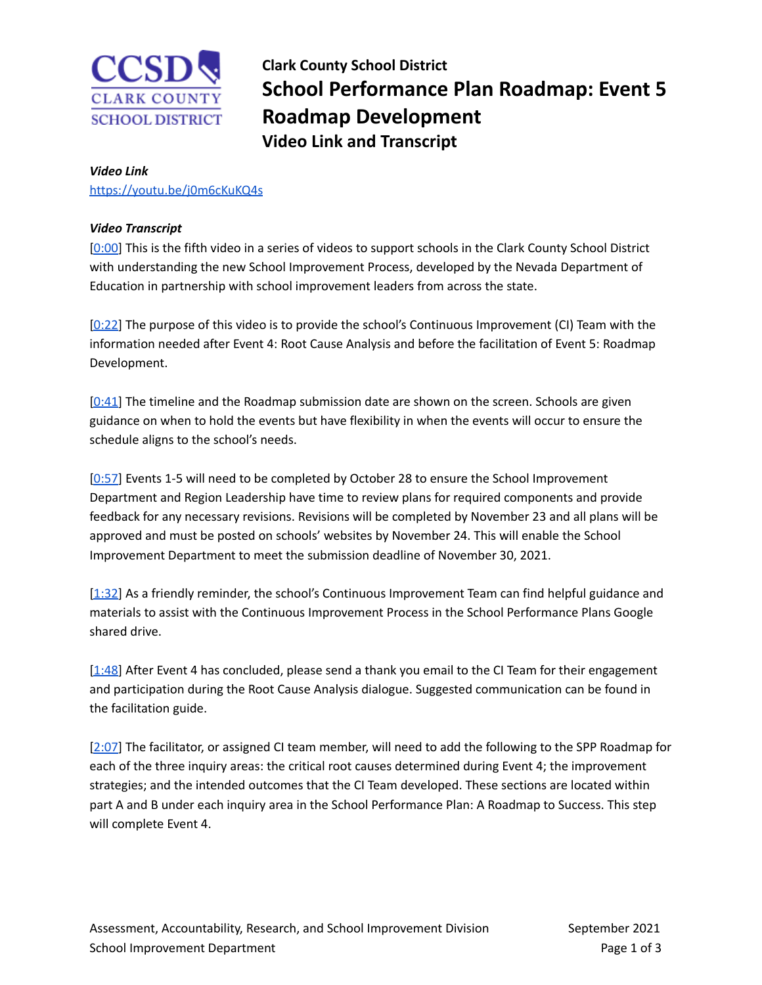

**Clark County School District School Performance Plan Roadmap: Event 5 Roadmap Development Video Link and Transcript**

## *Video Link*

<https://youtu.be/j0m6cKuKQ4s>

## *Video Transcript*

[\[0:00](https://youtu.be/j0m6cKuKQ4s)] This is the fifth video in a series of videos to support schools in the Clark County School District with understanding the new School Improvement Process, developed by the Nevada Department of Education in partnership with school improvement leaders from across the state.

[\[0:22](https://youtu.be/j0m6cKuKQ4s?t=22)] The purpose of this video is to provide the school's Continuous Improvement (CI) Team with the information needed after Event 4: Root Cause Analysis and before the facilitation of Event 5: Roadmap Development.

 $[0:41]$  $[0:41]$  The timeline and the Roadmap submission date are shown on the screen. Schools are given guidance on when to hold the events but have flexibility in when the events will occur to ensure the schedule aligns to the school's needs.

[\[0:57](https://youtu.be/j0m6cKuKQ4s?t=57)] Events 1-5 will need to be completed by October 28 to ensure the School Improvement Department and Region Leadership have time to review plans for required components and provide feedback for any necessary revisions. Revisions will be completed by November 23 and all plans will be approved and must be posted on schools' websites by November 24. This will enable the School Improvement Department to meet the submission deadline of November 30, 2021.

[\[1:32](https://youtu.be/j0m6cKuKQ4s?t=92)] As a friendly reminder, the school's Continuous Improvement Team can find helpful guidance and materials to assist with the Continuous Improvement Process in the School Performance Plans Google shared drive.

[\[1:48](https://youtu.be/j0m6cKuKQ4s?t=108)] After Event 4 has concluded, please send a thank you email to the CI Team for their engagement and participation during the Root Cause Analysis dialogue. Suggested communication can be found in the facilitation guide.

[\[2:07](https://youtu.be/j0m6cKuKQ4s?t=127)] The facilitator, or assigned CI team member, will need to add the following to the SPP Roadmap for each of the three inquiry areas: the critical root causes determined during Event 4; the improvement strategies; and the intended outcomes that the CI Team developed. These sections are located within part A and B under each inquiry area in the School Performance Plan: A Roadmap to Success. This step will complete Event 4.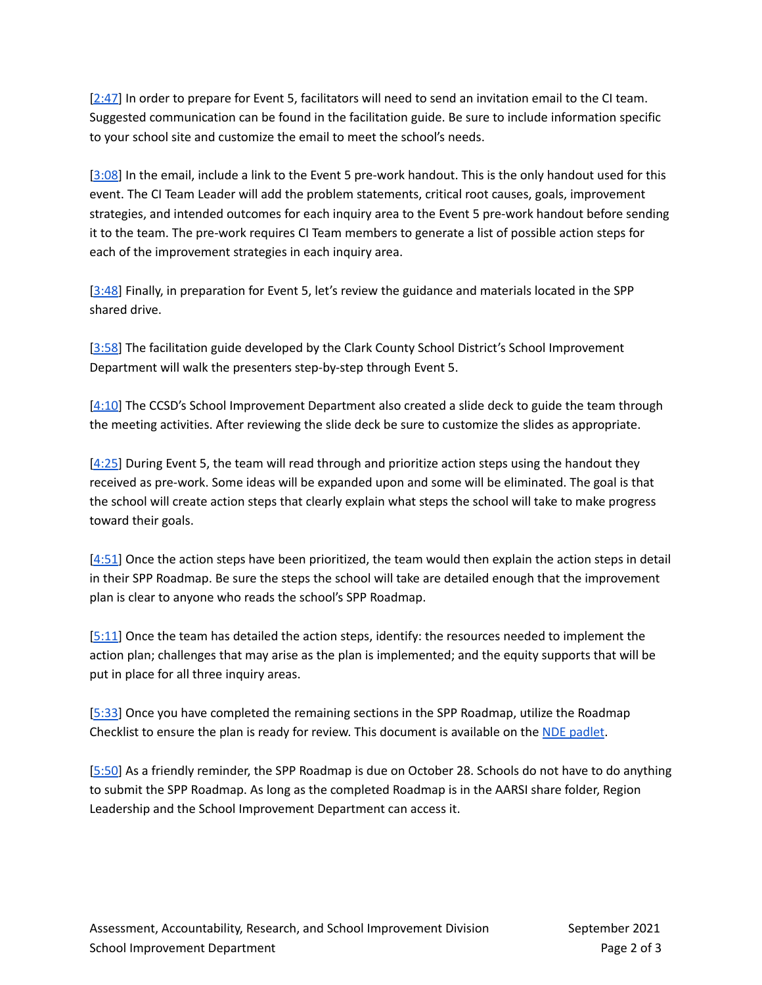[\[2:47](https://youtu.be/j0m6cKuKQ4s?t=167)] In order to prepare for Event 5, facilitators will need to send an invitation email to the CI team. Suggested communication can be found in the facilitation guide. Be sure to include information specific to your school site and customize the email to meet the school's needs.

[\[3:08](https://youtu.be/j0m6cKuKQ4s?t=188)] In the email, include a link to the Event 5 pre-work handout. This is the only handout used for this event. The CI Team Leader will add the problem statements, critical root causes, goals, improvement strategies, and intended outcomes for each inquiry area to the Event 5 pre-work handout before sending it to the team. The pre-work requires CI Team members to generate a list of possible action steps for each of the improvement strategies in each inquiry area.

[\[3:48](https://youtu.be/j0m6cKuKQ4s?t=228)] Finally, in preparation for Event 5, let's review the guidance and materials located in the SPP shared drive.

[\[3:58](https://youtu.be/j0m6cKuKQ4s?t=238)] The facilitation guide developed by the Clark County School District's School Improvement Department will walk the presenters step-by-step through Event 5.

 $[4:10]$  $[4:10]$  The CCSD's School Improvement Department also created a slide deck to guide the team through the meeting activities. After reviewing the slide deck be sure to customize the slides as appropriate.

[\[4:25](https://youtu.be/j0m6cKuKQ4s?t=265)] During Event 5, the team will read through and prioritize action steps using the handout they received as pre-work. Some ideas will be expanded upon and some will be eliminated. The goal is that the school will create action steps that clearly explain what steps the school will take to make progress toward their goals.

 $[4:51]$  $[4:51]$  Once the action steps have been prioritized, the team would then explain the action steps in detail in their SPP Roadmap. Be sure the steps the school will take are detailed enough that the improvement plan is clear to anyone who reads the school's SPP Roadmap.

[\[5:11](https://youtu.be/j0m6cKuKQ4s?t=311)] Once the team has detailed the action steps, identify: the resources needed to implement the action plan; challenges that may arise as the plan is implemented; and the equity supports that will be put in place for all three inquiry areas.

[\[5:33](https://youtu.be/j0m6cKuKQ4s?t=333)] Once you have completed the remaining sections in the SPP Roadmap, utilize the Roadmap Checklist to ensure the plan is ready for review. This document is available on the NDE [padlet.](https://nde.padlet.org/glamarre2/aw0ajfppvoatd44k)

[\[5:50](https://youtu.be/j0m6cKuKQ4s?t=350)] As a friendly reminder, the SPP Roadmap is due on October 28. Schools do not have to do anything to submit the SPP Roadmap. As long as the completed Roadmap is in the AARSI share folder, Region Leadership and the School Improvement Department can access it.